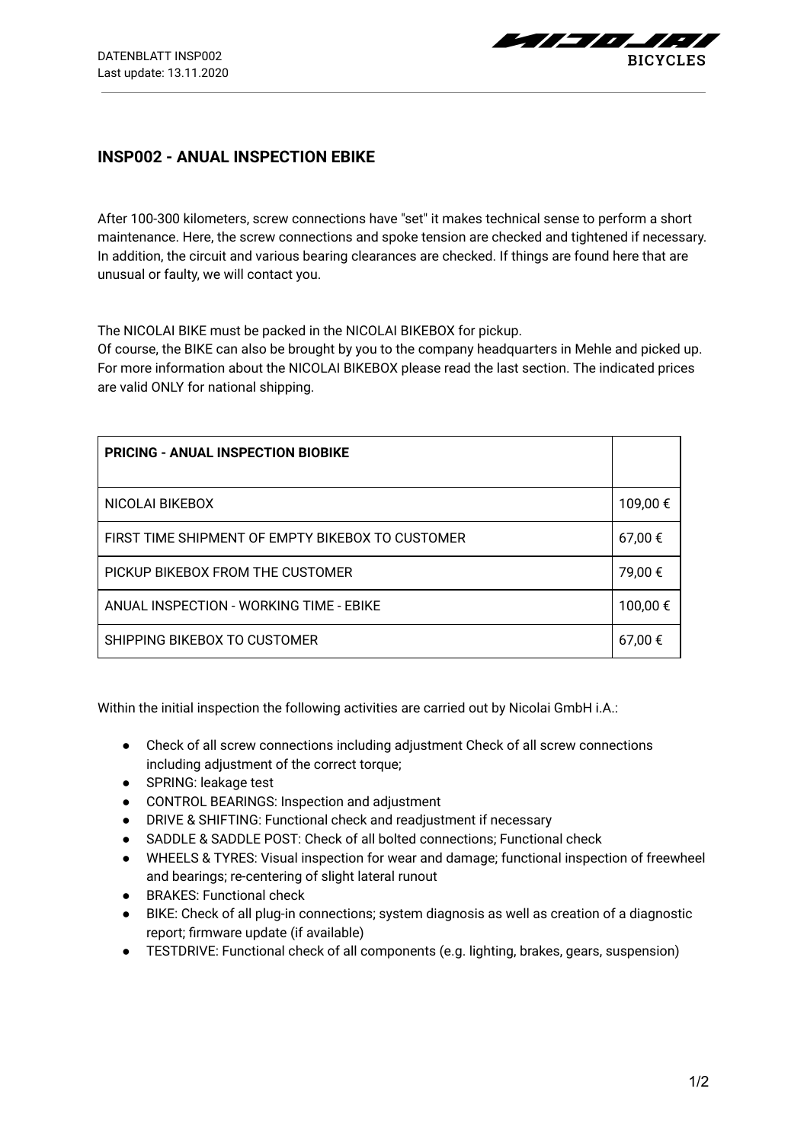$$
BICYCLE
$$

## **INSP002 - ANUAL INSPECTION EBIKE**

After 100-300 kilometers, screw connections have "set" it makes technical sense to perform a short maintenance. Here, the screw connections and spoke tension are checked and tightened if necessary. In addition, the circuit and various bearing clearances are checked. If things are found here that are unusual or faulty, we will contact you.

The NICOLAI BIKE must be packed in the NICOLAI BIKEBOX for pickup.

Of course, the BIKE can also be brought by you to the company headquarters in Mehle and picked up. For more information about the NICOLAI BIKEBOX please read the last section. The indicated prices are valid ONLY for national shipping.

| <b>PRICING - ANUAL INSPECTION BIOBIKE</b>        |          |
|--------------------------------------------------|----------|
| NICOLAI BIKEBOX                                  | 109,00 € |
| FIRST TIME SHIPMENT OF EMPTY BIKEBOX TO CUSTOMER | 67,00 €  |
| PICKUP BIKEBOX FROM THE CUSTOMER                 | 79,00€   |
| ANUAL INSPECTION - WORKING TIME - EBIKE          | 100,00 € |
| SHIPPING BIKEBOX TO CUSTOMER                     | 67,00 €  |

Within the initial inspection the following activities are carried out by Nicolai GmbH i.A.:

- Check of all screw connections including adjustment Check of all screw connections including adjustment of the correct torque;
- SPRING: leakage test
- CONTROL BEARINGS: Inspection and adjustment
- DRIVE & SHIFTING: Functional check and readjustment if necessary
- SADDLE & SADDLE POST: Check of all bolted connections; Functional check
- WHEELS & TYRES: Visual inspection for wear and damage; functional inspection of freewheel and bearings; re-centering of slight lateral runout
- BRAKES: Functional check
- BIKE: Check of all plug-in connections; system diagnosis as well as creation of a diagnostic report; firmware update (if available)
- TESTDRIVE: Functional check of all components (e.g. lighting, brakes, gears, suspension)